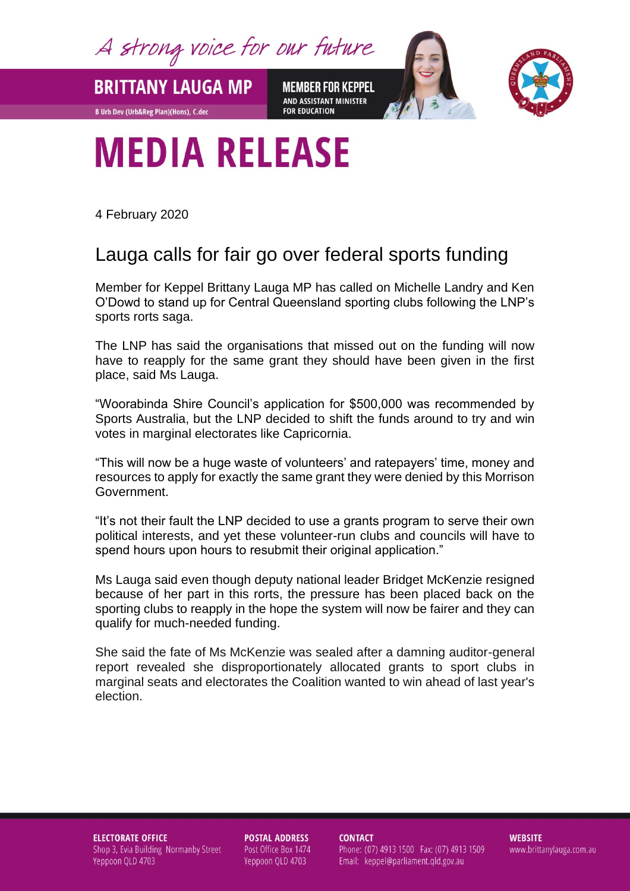A strong voice for our future

**BRITTANY LAUGA MP** 

**B Urb Dev (Urb&Reg Plan)(Hons), C.dec** 

**MEMBER FOR KEPPEL** AND ASSISTANT MINISTER **FOR EDUCATION** 



## **MEDIA RELEASE**

4 February 2020

## Lauga calls for fair go over federal sports funding

Member for Keppel Brittany Lauga MP has called on Michelle Landry and Ken O'Dowd to stand up for Central Queensland sporting clubs following the LNP's sports rorts saga.

The LNP has said the organisations that missed out on the funding will now have to reapply for the same grant they should have been given in the first place, said Ms Lauga.

"Woorabinda Shire Council's application for \$500,000 was recommended by Sports Australia, but the LNP decided to shift the funds around to try and win votes in marginal electorates like Capricornia.

"This will now be a huge waste of volunteers' and ratepayers' time, money and resources to apply for exactly the same grant they were denied by this Morrison Government.

"It's not their fault the LNP decided to use a grants program to serve their own political interests, and yet these volunteer-run clubs and councils will have to spend hours upon hours to resubmit their original application."

Ms Lauga said even though deputy national leader Bridget McKenzie resigned because of her part in this rorts, the pressure has been placed back on the sporting clubs to reapply in the hope the system will now be fairer and they can qualify for much-needed funding.

She said the fate of Ms McKenzie was sealed after a damning auditor-general report revealed she disproportionately allocated grants to sport clubs in marginal seats and electorates the Coalition wanted to win ahead of last year's election.

**ELECTORATE OFFICE** Shop 3, Evia Building Normanby Street Yeppoon QLD 4703

**POSTAL ADDRESS** Post Office Box 1474 Yeppoon QLD 4703

**CONTACT** Phone: (07) 4913 1500 Fax: (07) 4913 1509 Email: keppel@parliament.qld.gov.au

**WEBSITE** www.brittanylauga.com.au